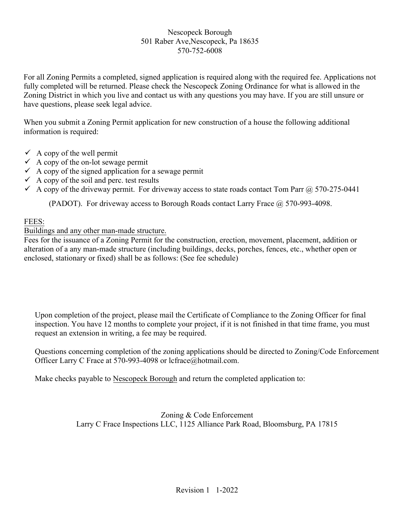### Nescopeck Borough 501 Raber Ave,Nescopeck, Pa 18635 570-752-6008

For all Zoning Permits a completed, signed application is required along with the required fee. Applications not fully completed will be returned. Please check the Nescopeck Zoning Ordinance for what is allowed in the Zoning District in which you live and contact us with any questions you may have. If you are still unsure or have questions, please seek legal advice.

When you submit a Zoning Permit application for new construction of a house the following additional information is required:

- $\checkmark$  A copy of the well permit
- $\checkmark$  A copy of the on-lot sewage permit
- $\checkmark$  A copy of the signed application for a sewage permit
- $\checkmark$  A copy of the soil and perc. test results
- A copy of the driveway permit. For driveway access to state roads contact Tom Parr  $\omega$  570-275-0441

(PADOT). For driveway access to Borough Roads contact Larry Frace @ 570-993-4098.

### FEES:

### Buildings and any other man-made structure.

Fees for the issuance of a Zoning Permit for the construction, erection, movement, placement, addition or alteration of a any man-made structure (including buildings, decks, porches, fences, etc., whether open or enclosed, stationary or fixed) shall be as follows: (See fee schedule)

Upon completion of the project, please mail the Certificate of Compliance to the Zoning Officer for final inspection. You have 12 months to complete your project, if it is not finished in that time frame, you must request an extension in writing, a fee may be required.

Questions concerning completion of the zoning applications should be directed to Zoning/Code Enforcement Officer Larry C Frace at 570-993-4098 or lcfrace@hotmail.com.

Make checks payable to Nescopeck Borough and return the completed application to:

Zoning & Code Enforcement Larry C Frace Inspections LLC, 1125 Alliance Park Road, Bloomsburg, PA 17815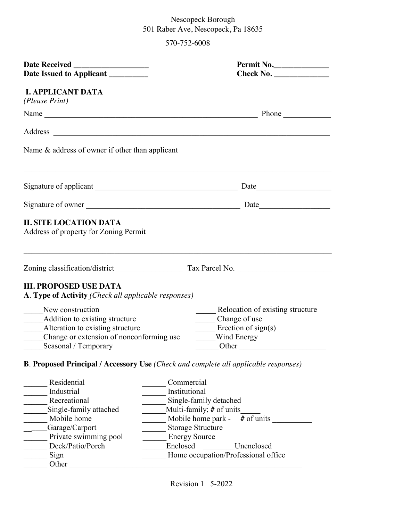# Nescopeck Borough 501 Raber Ave, Nescopeck, Pa 18635

570-752-6008

| Date Issued to Applicant _________<br><b>I. APPLICANT DATA</b><br>(Please Print)<br>Name Phone Phone                                                                                                                                                                                                                                 |                                                                                                                                    |  |  |
|--------------------------------------------------------------------------------------------------------------------------------------------------------------------------------------------------------------------------------------------------------------------------------------------------------------------------------------|------------------------------------------------------------------------------------------------------------------------------------|--|--|
|                                                                                                                                                                                                                                                                                                                                      |                                                                                                                                    |  |  |
|                                                                                                                                                                                                                                                                                                                                      |                                                                                                                                    |  |  |
|                                                                                                                                                                                                                                                                                                                                      |                                                                                                                                    |  |  |
| Name $\&$ address of owner if other than applicant                                                                                                                                                                                                                                                                                   |                                                                                                                                    |  |  |
|                                                                                                                                                                                                                                                                                                                                      |                                                                                                                                    |  |  |
| Signature of owner                                                                                                                                                                                                                                                                                                                   |                                                                                                                                    |  |  |
| <b>II. SITE LOCATION DATA</b><br>Address of property for Zoning Permit                                                                                                                                                                                                                                                               |                                                                                                                                    |  |  |
|                                                                                                                                                                                                                                                                                                                                      |                                                                                                                                    |  |  |
| <b>III. PROPOSED USE DATA</b><br>A. Type of Activity (Check all applicable responses)                                                                                                                                                                                                                                                |                                                                                                                                    |  |  |
| New construction<br>Addition to existing structure<br>Alteration to existing structure<br>Change or extension of nonconforming use<br>Seasonal / Temporary                                                                                                                                                                           | Relocation of existing structure<br>Change of use<br>$\equiv$ Erection of sign(s)<br>Wind Energy<br>$\overline{\phantom{a}}$ Other |  |  |
| <b>B. Proposed Principal / Accessory Use (Check and complete all applicable responses)</b>                                                                                                                                                                                                                                           |                                                                                                                                    |  |  |
| Residential<br>Commercial<br>Industrial<br>Institutional<br>Recreational<br>Single-family detached<br>Single-family attached<br>Multi-family; # of units<br>Mobile home park -<br>Mobile home<br><b>Storage Structure</b><br>Garage/Carport<br>Private swimming pool<br><b>Energy Source</b><br>Deck/Patio/Porch<br>Enclosed<br>Sign | # of units<br>Unenclosed<br>Home occupation/Professional office                                                                    |  |  |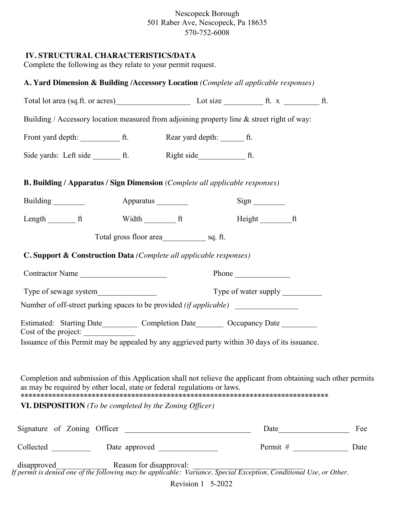Nescopeck Borough 501 Raber Ave, Nescopeck, Pa 18635 570-752-6008

# **IV. STRUCTURAL CHARACTERISTICS/DATA**

Complete the following as they relate to your permit request.

| Building / Accessory location measured from adjoining property line & street right of way:                                                                                                  |                          |  |                              |      |     |
|---------------------------------------------------------------------------------------------------------------------------------------------------------------------------------------------|--------------------------|--|------------------------------|------|-----|
|                                                                                                                                                                                             |                          |  |                              |      |     |
|                                                                                                                                                                                             |                          |  |                              |      |     |
| <b>B. Building / Apparatus / Sign Dimension (Complete all applicable responses)</b>                                                                                                         |                          |  |                              |      |     |
| Building                                                                                                                                                                                    | Apparatus _________      |  | $Sign$ <sub>__________</sub> |      |     |
| Length $f$ ft                                                                                                                                                                               |                          |  | Height ft                    |      |     |
|                                                                                                                                                                                             |                          |  |                              |      |     |
| <b>C. Support &amp; Construction Data</b> (Complete all applicable responses)                                                                                                               |                          |  |                              |      |     |
|                                                                                                                                                                                             | Contractor Name<br>Phone |  |                              |      |     |
|                                                                                                                                                                                             |                          |  |                              |      |     |
| Number of off-street parking spaces to be provided (if applicable)                                                                                                                          |                          |  |                              |      |     |
| Estimated: Starting Date____________ Completion Date__________ Occupancy Date ________<br>Cost of the project:                                                                              |                          |  |                              |      |     |
| Issuance of this Permit may be appealed by any aggrieved party within 30 days of its issuance.                                                                                              |                          |  |                              |      |     |
|                                                                                                                                                                                             |                          |  |                              |      |     |
| Completion and submission of this Application shall not relieve the applicant from obtaining such other permits<br>as may be required by other local, state or federal regulations or laws. |                          |  |                              |      |     |
| <b>VI. DISPOSITION</b> (To be completed by the Zoning Officer)                                                                                                                              |                          |  |                              |      |     |
| Signature of Zoning Officer                                                                                                                                                                 |                          |  |                              | Date | Fee |
|                                                                                                                                                                                             |                          |  |                              |      |     |
|                                                                                                                                                                                             |                          |  |                              |      |     |

Revision 1 5-2022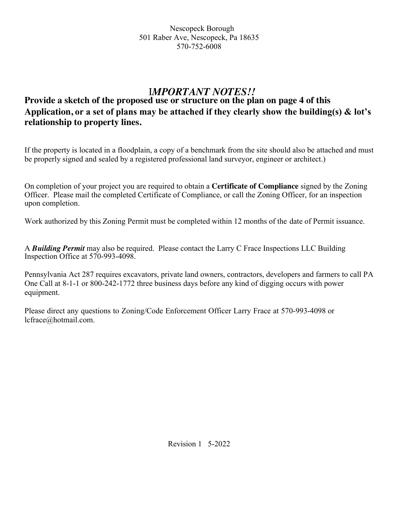# I*MPORTANT NOTES!!*

# **Provide a sketch of the proposed use or structure on the plan on page 4 of this Application, or a set of plans may be attached if they clearly show the building(s) & lot's relationship to property lines.**

If the property is located in a floodplain, a copy of a benchmark from the site should also be attached and must be properly signed and sealed by a registered professional land surveyor, engineer or architect.)

On completion of your project you are required to obtain a **Certificate of Compliance** signed by the Zoning Officer. Please mail the completed Certificate of Compliance, or call the Zoning Officer, for an inspection upon completion.

Work authorized by this Zoning Permit must be completed within 12 months of the date of Permit issuance.

A *Building Permit* may also be required. Please contact the Larry C Frace Inspections LLC Building Inspection Office at 570-993-4098.

Pennsylvania Act 287 requires excavators, private land owners, contractors, developers and farmers to call PA One Call at 8-1-1 or 800-242-1772 three business days before any kind of digging occurs with power equipment.

Please direct any questions to Zoning/Code Enforcement Officer Larry Frace at 570-993-4098 or lcfrace@hotmail.com.

Revision 1 5-2022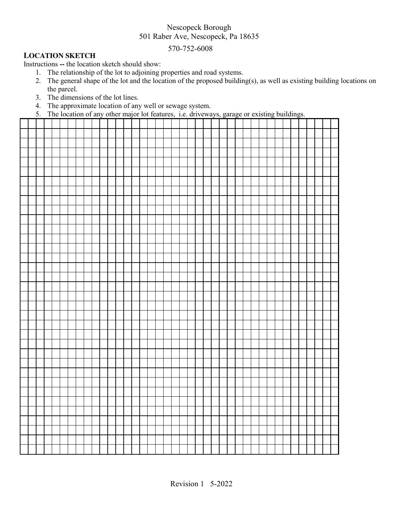# Nescopeck Borough 501 Raber Ave, Nescopeck, Pa 18635

### 570-752-6008

### **LOCATION SKETCH**

Instructions **--** the location sketch should show:

- 1. The relationship of the lot to adjoining properties and road systems.
- 2. The general shape of the lot and the location of the proposed building(s), as well as existing building locations on the parcel.
- 3. The dimensions of the lot lines.
- 4. The approximate location of any well or sewage system.
- 5. The location of any other major lot features, i.e. driveways, garage or existing buildings.